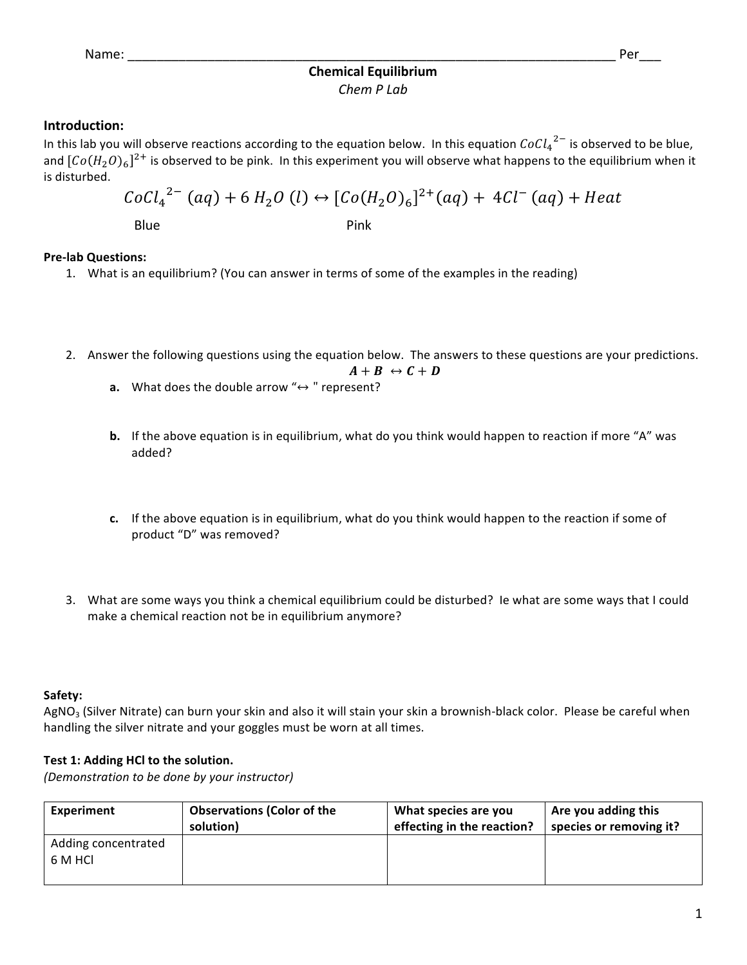# **Chemical Equilibrium** *Chem P Lab*

# **Introduction:**

In this lab you will observe reactions according to the equation below. In this equation  $\mathit{CoCl}_4^{-2-}$  is observed to be blue, and  $[Co(H_2O)_6]^{2+}$  is observed to be pink. In this experiment you will observe what happens to the equilibrium when it is disturbed.

$$
CoCl_4^{2-}(aq) + 6 H_2O (l) \leftrightarrow [Co(H_2O)_6]^{2+}(aq) + 4Cl^-(aq) + Heat
$$

Blue **Pink** 

# **Pre-lab Questions:**

- 1. What is an equilibrium? (You can answer in terms of some of the examples in the reading)
- 2. Answer the following questions using the equation below. The answers to these questions are your predictions.

$$
A + B \leftrightarrow C + D
$$

- **a.** What does the double arrow  $" \leftrightarrow "$  represent?
- **b.** If the above equation is in equilibrium, what do you think would happen to reaction if more "A" was added?
- **c.** If the above equation is in equilibrium, what do you think would happen to the reaction if some of product "D" was removed?
- 3. What are some ways you think a chemical equilibrium could be disturbed? Ie what are some ways that I could make a chemical reaction not be in equilibrium anymore?

# **Safety:**

 $AgNO<sub>3</sub>$  (Silver Nitrate) can burn your skin and also it will stain your skin a brownish-black color. Please be careful when handling the silver nitrate and your goggles must be worn at all times.

# Test 1: Adding HCl to the solution.

*(Demonstration to be done by your instructor)*

| <b>Experiment</b>              | <b>Observations (Color of the</b> | What species are you       | Are you adding this     |
|--------------------------------|-----------------------------------|----------------------------|-------------------------|
|                                | solution)                         | effecting in the reaction? | species or removing it? |
| Adding concentrated<br>6 M HCL |                                   |                            |                         |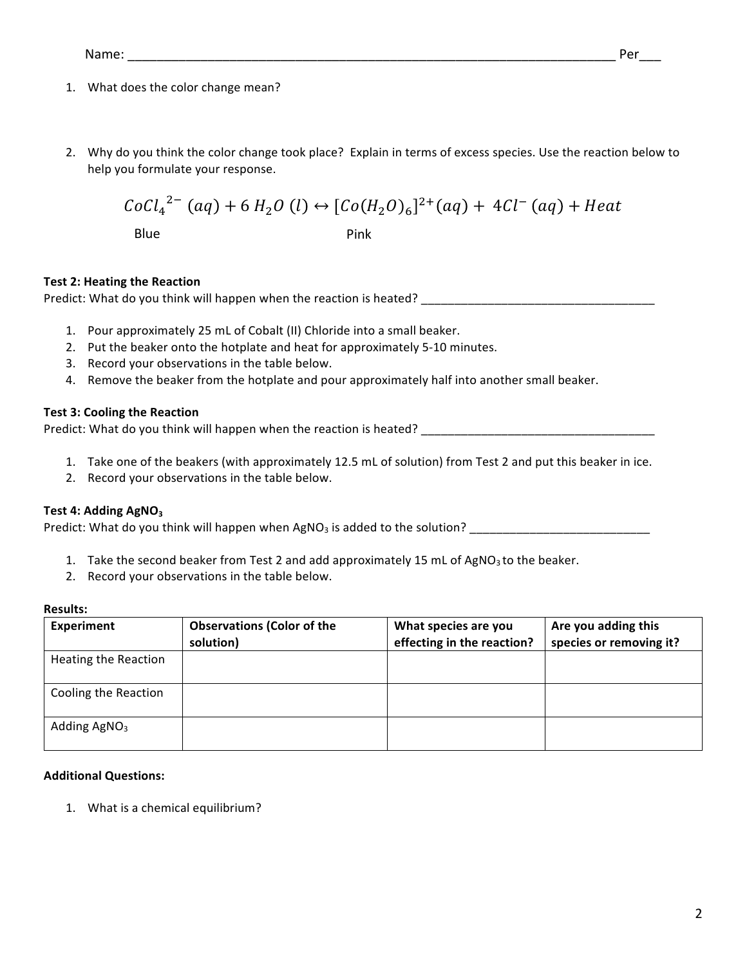- 1. What does the color change mean?
- 2. Why do you think the color change took place? Explain in terms of excess species. Use the reaction below to help you formulate your response.

$$
CoCl_4^{2-}(aq) + 6 H_2O (l) \leftrightarrow [Co(H_2O)_6]^{2+}(aq) + 4Cl^-(aq) + Heat
$$
  
Blue

# **Test 2: Heating the Reaction**

Predict: What do you think will happen when the reaction is heated? \_\_\_\_\_\_\_\_\_\_\_\_\_\_\_\_\_\_\_\_\_\_\_\_\_\_\_\_\_\_\_\_

- 1. Pour approximately 25 mL of Cobalt (II) Chloride into a small beaker.
- 2. Put the beaker onto the hotplate and heat for approximately 5-10 minutes.
- 3. Record your observations in the table below.
- 4. Remove the beaker from the hotplate and pour approximately half into another small beaker.

## **Test 3: Cooling the Reaction**

Predict: What do you think will happen when the reaction is heated? \_\_\_\_\_\_\_\_\_\_\_\_\_\_\_\_\_\_\_\_\_\_\_\_\_\_\_\_\_\_\_\_\_\_\_

- 1. Take one of the beakers (with approximately 12.5 mL of solution) from Test 2 and put this beaker in ice.
- 2. Record your observations in the table below.

### Test 4: Adding AgNO<sub>3</sub>

Predict: What do you think will happen when AgNO<sub>3</sub> is added to the solution? \_\_\_\_\_\_\_\_\_\_\_\_\_\_\_\_\_\_\_\_\_\_\_\_\_\_\_\_\_\_\_\_\_\_\_

- 1. Take the second beaker from Test 2 and add approximately 15 mL of AgNO<sub>3</sub> to the beaker.
- 2. Record your observations in the table below.

#### **Results:**

| <b>Experiment</b>    | <b>Observations (Color of the</b> | What species are you       | Are you adding this<br>species or removing it? |
|----------------------|-----------------------------------|----------------------------|------------------------------------------------|
|                      | solution)                         | effecting in the reaction? |                                                |
| Heating the Reaction |                                   |                            |                                                |
|                      |                                   |                            |                                                |
| Cooling the Reaction |                                   |                            |                                                |
|                      |                                   |                            |                                                |
| Adding $AgNO3$       |                                   |                            |                                                |
|                      |                                   |                            |                                                |

#### **Additional Questions:**

1. What is a chemical equilibrium?